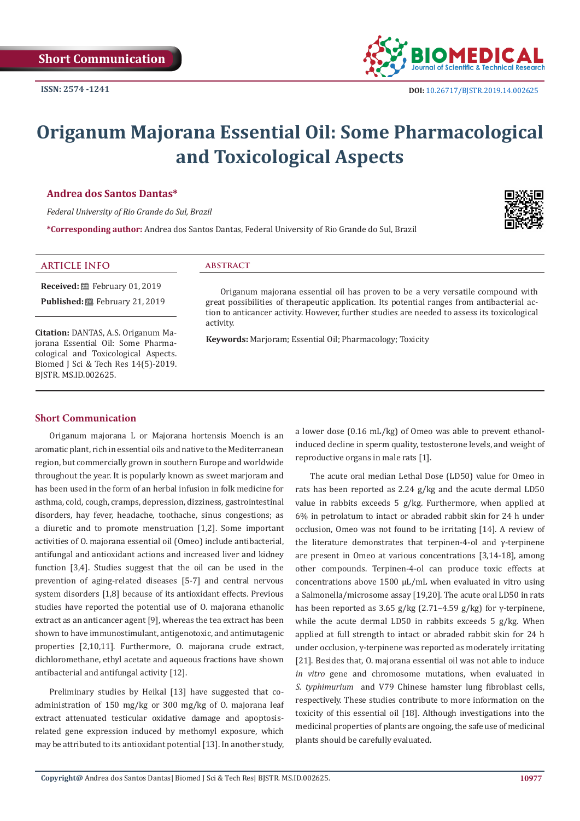

# **Origanum Majorana Essential Oil: Some Pharmacological and Toxicological Aspects**

#### **Andrea dos Santos Dantas\***

*Federal University of Rio Grande do Sul, Brazil*

**\*Corresponding author:** Andrea dos Santos Dantas, Federal University of Rio Grande do Sul, Brazil



## **ARTICLE INFO abstract**

**Received:** February 01, 2019 Published: **■**February 21, 2019

**Citation:** DANTAS, A.S. Origanum Majorana Essential Oil: Some Pharmacological and Toxicological Aspects. Biomed J Sci & Tech Res 14(5)-2019. BJSTR. MS.ID.002625.

Origanum majorana essential oil has proven to be a very versatile compound with great possibilities of therapeutic application. Its potential ranges from antibacterial action to anticancer activity. However, further studies are needed to assess its toxicological activity.

**Keywords:** Marjoram; Essential Oil; Pharmacology; Toxicity

### **Short Communication**

Origanum majorana L or Majorana hortensis Moench is an aromatic plant, rich in essential oils and native to the Mediterranean region, but commercially grown in southern Europe and worldwide throughout the year. It is popularly known as sweet marjoram and has been used in the form of an herbal infusion in folk medicine for asthma, cold, cough, cramps, depression, dizziness, gastrointestinal disorders, hay fever, headache, toothache, sinus congestions; as a diuretic and to promote menstruation [1,2]. Some important activities of O. majorana essential oil (Omeo) include antibacterial, antifungal and antioxidant actions and increased liver and kidney function [3,4]. Studies suggest that the oil can be used in the prevention of aging-related diseases [5-7] and central nervous system disorders [1,8] because of its antioxidant effects. Previous studies have reported the potential use of O. majorana ethanolic extract as an anticancer agent [9], whereas the tea extract has been shown to have immunostimulant, antigenotoxic, and antimutagenic properties [2,10,11]. Furthermore, O. majorana crude extract, dichloromethane, ethyl acetate and aqueous fractions have shown antibacterial and antifungal activity [12].

Preliminary studies by Heikal [13] have suggested that coadministration of 150 mg/kg or 300 mg/kg of O. majorana leaf extract attenuated testicular oxidative damage and apoptosisrelated gene expression induced by methomyl exposure, which may be attributed to its antioxidant potential [13]. In another study,

a lower dose (0.16 mL/kg) of Omeo was able to prevent ethanolinduced decline in sperm quality, testosterone levels, and weight of reproductive organs in male rats [1].

The acute oral median Lethal Dose (LD50) value for Omeo in rats has been reported as 2.24 g/kg and the acute dermal LD50 value in rabbits exceeds 5 g/kg. Furthermore, when applied at 6% in petrolatum to intact or abraded rabbit skin for 24 h under occlusion, Omeo was not found to be irritating [14]. A review of the literature demonstrates that terpinen-4-ol and γ-terpinene are present in Omeo at various concentrations [3,14-18], among other compounds. Terpinen-4-ol can produce toxic effects at concentrations above  $1500 \mu L/mL$  when evaluated in vitro using a Salmonella/microsome assay [19,20]. The acute oral LD50 in rats has been reported as 3.65 g/kg (2.71–4.59 g/kg) for γ-terpinene, while the acute dermal LD50 in rabbits exceeds 5 g/kg. When applied at full strength to intact or abraded rabbit skin for 24 h under occlusion, γ-terpinene was reported as moderately irritating [21]. Besides that, O. majorana essential oil was not able to induce *in vitro* gene and chromosome mutations, when evaluated in *S. typhimurium* and V79 Chinese hamster lung fibroblast cells, respectively. These studies contribute to more information on the toxicity of this essential oil [18]. Although investigations into the medicinal properties of plants are ongoing, the safe use of medicinal plants should be carefully evaluated.